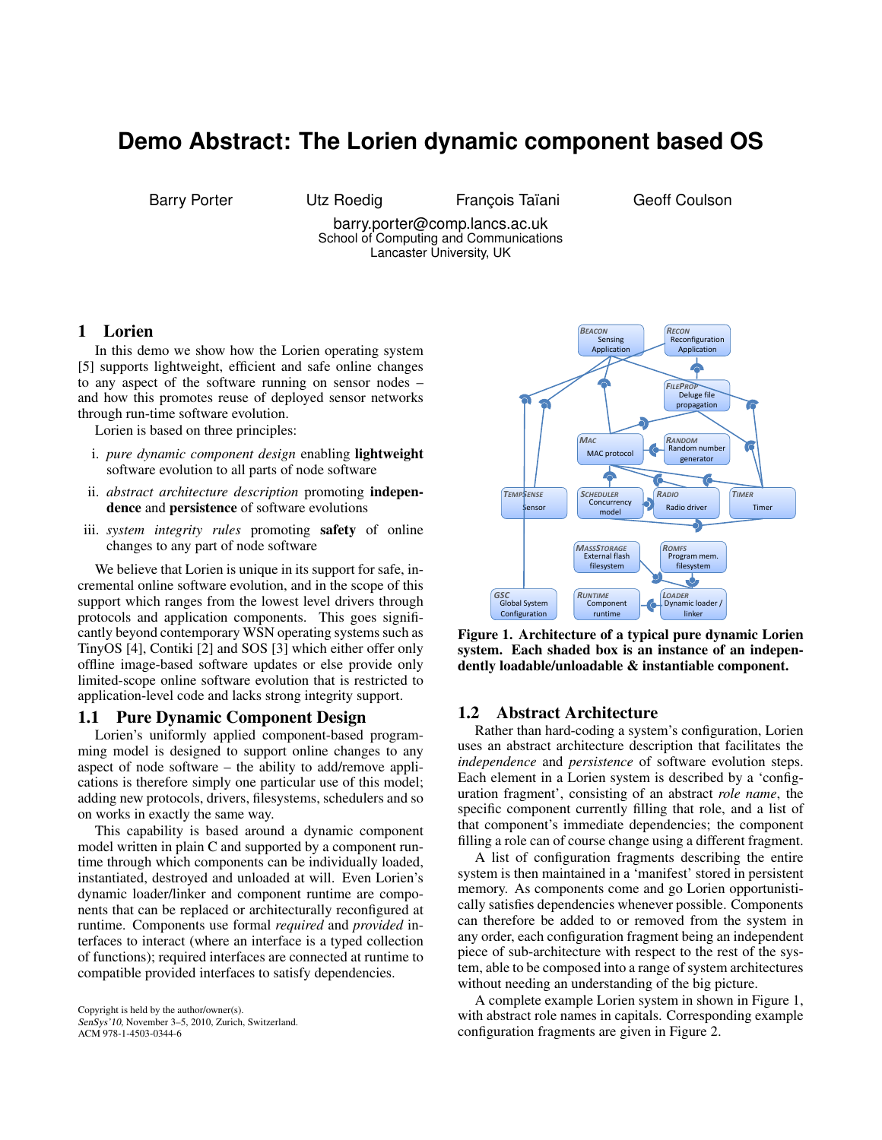# **Demo Abstract: The Lorien dynamic component based OS**

Barry Porter **Dranges** Utz Roedig François Taïani Geoff Coulson

barry.porter@comp.lancs.ac.uk School of Computing and Communications Lancaster University, UK

# 1 Lorien

In this demo we show how the Lorien operating system [5] supports lightweight, efficient and safe online changes to any aspect of the software running on sensor nodes – and how this promotes reuse of deployed sensor networks through run-time software evolution.

Lorien is based on three principles:

- i. *pure dynamic component design* enabling lightweight software evolution to all parts of node software
- ii. *abstract architecture description* promoting independence and persistence of software evolutions
- iii. *system integrity rules* promoting safety of online changes to any part of node software

We believe that Lorien is unique in its support for safe, incremental online software evolution, and in the scope of this support which ranges from the lowest level drivers through protocols and application components. This goes significantly beyond contemporary WSN operating systems such as TinyOS [4], Contiki [2] and SOS [3] which either offer only offline image-based software updates or else provide only limited-scope online software evolution that is restricted to application-level code and lacks strong integrity support.

#### 1.1 Pure Dynamic Component Design

Lorien's uniformly applied component-based programming model is designed to support online changes to any aspect of node software – the ability to add/remove applications is therefore simply one particular use of this model; adding new protocols, drivers, filesystems, schedulers and so on works in exactly the same way.

This capability is based around a dynamic component model written in plain C and supported by a component runtime through which components can be individually loaded, instantiated, destroyed and unloaded at will. Even Lorien's dynamic loader/linker and component runtime are components that can be replaced or architecturally reconfigured at runtime. Components use formal *required* and *provided* interfaces to interact (where an interface is a typed collection of functions); required interfaces are connected at runtime to compatible provided interfaces to satisfy dependencies.

Copyright is held by the author/owner(s). SenSys'10, November 3–5, 2010, Zurich, Switzerland. ACM 978-1-4503-0344-6



Figure 1. Architecture of a typical pure dynamic Lorien system. Each shaded box is an instance of an independently loadable/unloadable & instantiable component.

## 1.2 Abstract Architecture

Rather than hard-coding a system's configuration, Lorien uses an abstract architecture description that facilitates the *independence* and *persistence* of software evolution steps. Each element in a Lorien system is described by a 'configuration fragment', consisting of an abstract *role name*, the specific component currently filling that role, and a list of that component's immediate dependencies; the component filling a role can of course change using a different fragment.

A list of configuration fragments describing the entire system is then maintained in a 'manifest' stored in persistent memory. As components come and go Lorien opportunistically satisfies dependencies whenever possible. Components can therefore be added to or removed from the system in any order, each configuration fragment being an independent piece of sub-architecture with respect to the rest of the system, able to be composed into a range of system architectures without needing an understanding of the big picture.

A complete example Lorien system in shown in Figure 1, with abstract role names in capitals. Corresponding example configuration fragments are given in Figure 2.